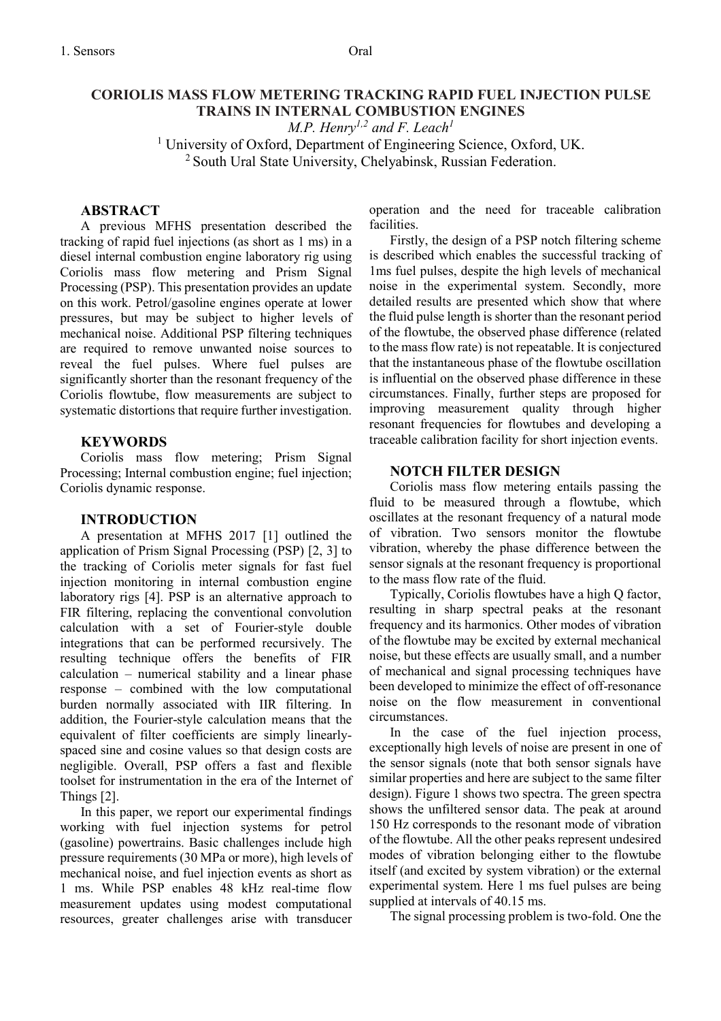# **CORIOLIS MASS FLOW METERING TRACKING RAPID FUEL INJECTION PULSE TRAINS IN INTERNAL COMBUSTION ENGINES**

*M.P. Henry1,2 and F. Leach<sup>1</sup>*

<sup>1</sup> University of Oxford, Department of Engineering Science, Oxford, UK.  $2$  South Ural State University, Chelyabinsk, Russian Federation.

### **ABSTRACT**

A previous MFHS presentation described the tracking of rapid fuel injections (as short as 1 ms) in a diesel internal combustion engine laboratory rig using Coriolis mass flow metering and Prism Signal Processing (PSP). This presentation provides an update on this work. Petrol/gasoline engines operate at lower pressures, but may be subject to higher levels of mechanical noise. Additional PSP filtering techniques are required to remove unwanted noise sources to reveal the fuel pulses. Where fuel pulses are significantly shorter than the resonant frequency of the Coriolis flowtube, flow measurements are subject to systematic distortions that require further investigation.

#### **KEYWORDS**

Coriolis mass flow metering; Prism Signal Processing; Internal combustion engine; fuel injection; Coriolis dynamic response.

#### **INTRODUCTION**

A presentation at MFHS 2017 [1] outlined the application of Prism Signal Processing (PSP) [2, 3] to the tracking of Coriolis meter signals for fast fuel injection monitoring in internal combustion engine laboratory rigs [4]. PSP is an alternative approach to FIR filtering, replacing the conventional convolution calculation with a set of Fourier-style double integrations that can be performed recursively. The resulting technique offers the benefits of FIR calculation – numerical stability and a linear phase response – combined with the low computational burden normally associated with IIR filtering. In addition, the Fourier-style calculation means that the equivalent of filter coefficients are simply linearlyspaced sine and cosine values so that design costs are negligible. Overall, PSP offers a fast and flexible toolset for instrumentation in the era of the Internet of Things [2].

In this paper, we report our experimental findings working with fuel injection systems for petrol (gasoline) powertrains. Basic challenges include high pressure requirements (30 MPa or more), high levels of mechanical noise, and fuel injection events as short as 1 ms. While PSP enables 48 kHz real-time flow measurement updates using modest computational resources, greater challenges arise with transducer operation and the need for traceable calibration facilities.

Firstly, the design of a PSP notch filtering scheme is described which enables the successful tracking of 1ms fuel pulses, despite the high levels of mechanical noise in the experimental system. Secondly, more detailed results are presented which show that where the fluid pulse length is shorter than the resonant period of the flowtube, the observed phase difference (related to the mass flow rate) is not repeatable. It is conjectured that the instantaneous phase of the flowtube oscillation is influential on the observed phase difference in these circumstances. Finally, further steps are proposed for improving measurement quality through higher resonant frequencies for flowtubes and developing a traceable calibration facility for short injection events.

#### **NOTCH FILTER DESIGN**

Coriolis mass flow metering entails passing the fluid to be measured through a flowtube, which oscillates at the resonant frequency of a natural mode of vibration. Two sensors monitor the flowtube vibration, whereby the phase difference between the sensor signals at the resonant frequency is proportional to the mass flow rate of the fluid.

Typically, Coriolis flowtubes have a high Q factor, resulting in sharp spectral peaks at the resonant frequency and its harmonics. Other modes of vibration of the flowtube may be excited by external mechanical noise, but these effects are usually small, and a number of mechanical and signal processing techniques have been developed to minimize the effect of off-resonance noise on the flow measurement in conventional circumstances.

In the case of the fuel injection process, exceptionally high levels of noise are present in one of the sensor signals (note that both sensor signals have similar properties and here are subject to the same filter design). Figure 1 shows two spectra. The green spectra shows the unfiltered sensor data. The peak at around 150 Hz corresponds to the resonant mode of vibration of the flowtube. All the other peaks represent undesired modes of vibration belonging either to the flowtube itself (and excited by system vibration) or the external experimental system. Here 1 ms fuel pulses are being supplied at intervals of 40.15 ms.

The signal processing problem is two-fold. One the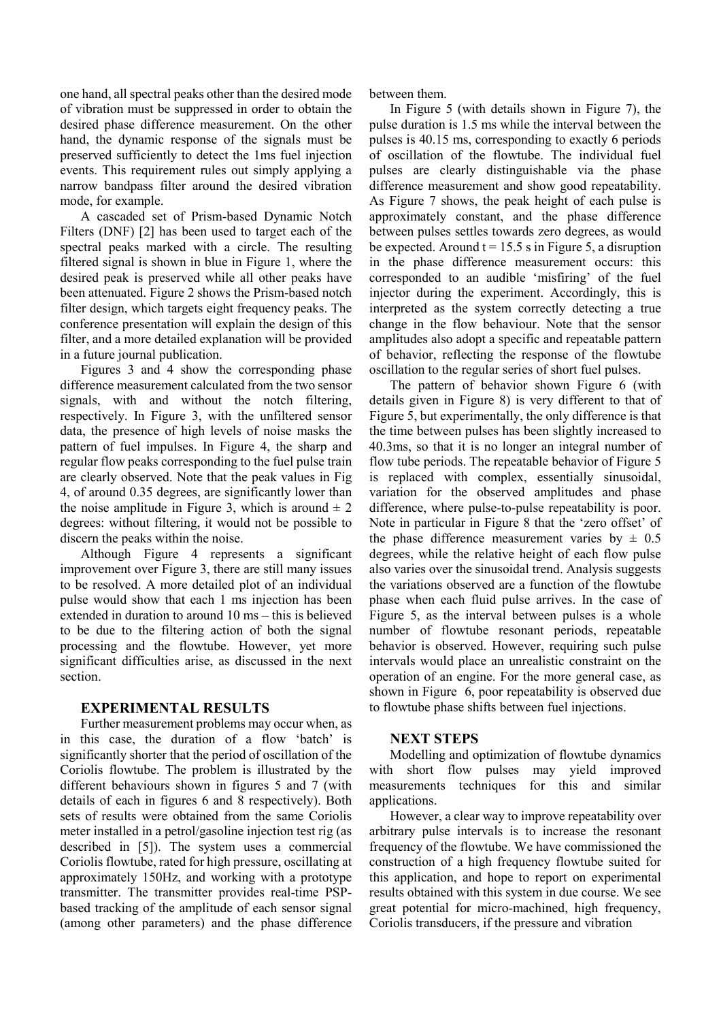one hand, all spectral peaks other than the desired mode of vibration must be suppressed in order to obtain the desired phase difference measurement. On the other hand, the dynamic response of the signals must be preserved sufficiently to detect the 1ms fuel injection events. This requirement rules out simply applying a narrow bandpass filter around the desired vibration mode, for example.

A cascaded set of Prism-based Dynamic Notch Filters (DNF) [2] has been used to target each of the spectral peaks marked with a circle. The resulting filtered signal is shown in blue in Figure 1, where the desired peak is preserved while all other peaks have been attenuated. Figure 2 shows the Prism-based notch filter design, which targets eight frequency peaks. The conference presentation will explain the design of this filter, and a more detailed explanation will be provided in a future journal publication.

Figures 3 and 4 show the corresponding phase difference measurement calculated from the two sensor signals, with and without the notch filtering, respectively. In Figure 3, with the unfiltered sensor data, the presence of high levels of noise masks the pattern of fuel impulses. In Figure 4, the sharp and regular flow peaks corresponding to the fuel pulse train are clearly observed. Note that the peak values in Fig 4, of around 0.35 degrees, are significantly lower than the noise amplitude in Figure 3, which is around  $\pm 2$ degrees: without filtering, it would not be possible to discern the peaks within the noise.

Although Figure 4 represents a significant improvement over Figure 3, there are still many issues to be resolved. A more detailed plot of an individual pulse would show that each 1 ms injection has been extended in duration to around 10 ms – this is believed to be due to the filtering action of both the signal processing and the flowtube. However, yet more significant difficulties arise, as discussed in the next section.

#### **EXPERIMENTAL RESULTS**

Further measurement problems may occur when, as in this case, the duration of a flow 'batch' is significantly shorter that the period of oscillation of the Coriolis flowtube. The problem is illustrated by the different behaviours shown in figures 5 and 7 (with details of each in figures 6 and 8 respectively). Both sets of results were obtained from the same Coriolis meter installed in a petrol/gasoline injection test rig (as described in [5]). The system uses a commercial Coriolis flowtube, rated for high pressure, oscillating at approximately 150Hz, and working with a prototype transmitter. The transmitter provides real-time PSPbased tracking of the amplitude of each sensor signal (among other parameters) and the phase difference between them.

In Figure 5 (with details shown in Figure 7), the pulse duration is 1.5 ms while the interval between the pulses is 40.15 ms, corresponding to exactly 6 periods of oscillation of the flowtube. The individual fuel pulses are clearly distinguishable via the phase difference measurement and show good repeatability. As Figure 7 shows, the peak height of each pulse is approximately constant, and the phase difference between pulses settles towards zero degrees, as would be expected. Around  $t = 15.5$  s in Figure 5, a disruption in the phase difference measurement occurs: this corresponded to an audible 'misfiring' of the fuel injector during the experiment. Accordingly, this is interpreted as the system correctly detecting a true change in the flow behaviour. Note that the sensor amplitudes also adopt a specific and repeatable pattern of behavior, reflecting the response of the flowtube oscillation to the regular series of short fuel pulses.

The pattern of behavior shown Figure 6 (with details given in Figure 8) is very different to that of Figure 5, but experimentally, the only difference is that the time between pulses has been slightly increased to 40.3ms, so that it is no longer an integral number of flow tube periods. The repeatable behavior of Figure 5 is replaced with complex, essentially sinusoidal, variation for the observed amplitudes and phase difference, where pulse-to-pulse repeatability is poor. Note in particular in Figure 8 that the 'zero offset' of the phase difference measurement varies by  $\pm$  0.5 degrees, while the relative height of each flow pulse also varies over the sinusoidal trend. Analysis suggests the variations observed are a function of the flowtube phase when each fluid pulse arrives. In the case of Figure 5, as the interval between pulses is a whole number of flowtube resonant periods, repeatable behavior is observed. However, requiring such pulse intervals would place an unrealistic constraint on the operation of an engine. For the more general case, as shown in Figure 6, poor repeatability is observed due to flowtube phase shifts between fuel injections.

#### **NEXT STEPS**

Modelling and optimization of flowtube dynamics with short flow pulses may yield improved measurements techniques for this and similar applications.

However, a clear way to improve repeatability over arbitrary pulse intervals is to increase the resonant frequency of the flowtube. We have commissioned the construction of a high frequency flowtube suited for this application, and hope to report on experimental results obtained with this system in due course. We see great potential for micro-machined, high frequency, Coriolis transducers, if the pressure and vibration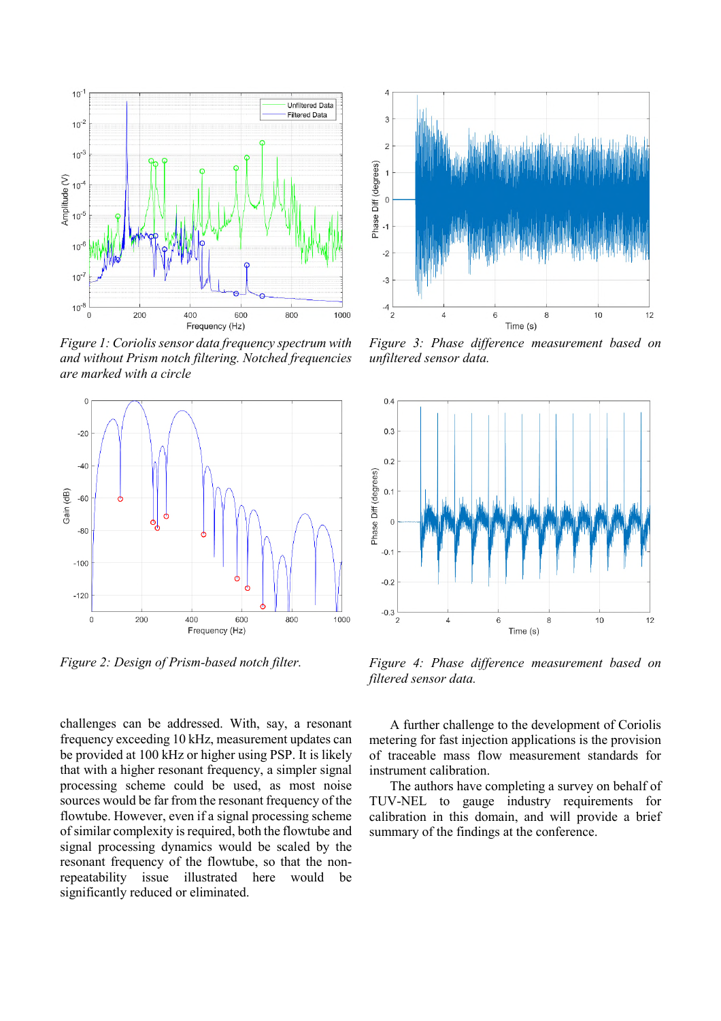

*Figure 1: Coriolis sensor data frequency spectrum with and without Prism notch filtering. Notched frequencies are marked with a circle*



*Figure 2: Design of Prism-based notch filter.*

challenges can be addressed. With, say, a resonant frequency exceeding 10 kHz, measurement updates can be provided at 100 kHz or higher using PSP. It is likely that with a higher resonant frequency, a simpler signal processing scheme could be used, as most noise sources would be far from the resonant frequency of the flowtube. However, even if a signal processing scheme of similar complexity is required, both the flowtube and signal processing dynamics would be scaled by the resonant frequency of the flowtube, so that the nonrepeatability issue illustrated here would be significantly reduced or eliminated.



*Figure 3: Phase difference measurement based on unfiltered sensor data.*



*Figure 4: Phase difference measurement based on filtered sensor data.*

A further challenge to the development of Coriolis metering for fast injection applications is the provision of traceable mass flow measurement standards for instrument calibration.

The authors have completing a survey on behalf of TUV-NEL to gauge industry requirements for calibration in this domain, and will provide a brief summary of the findings at the conference.